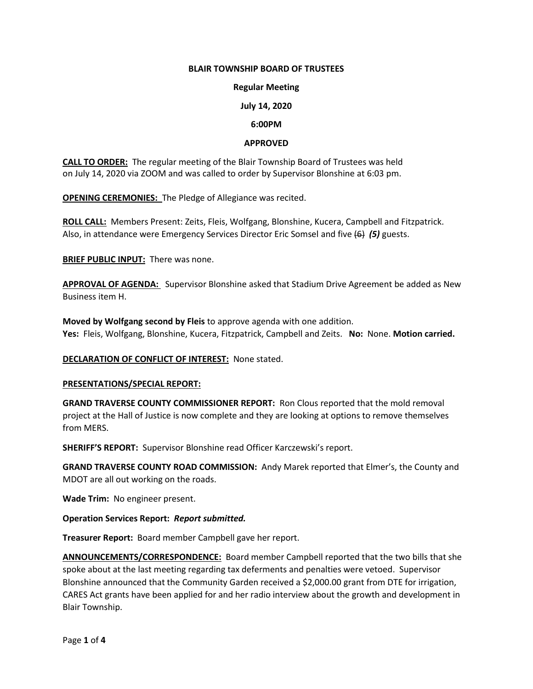## **BLAIR TOWNSHIP BOARD OF TRUSTEES**

## **Regular Meeting**

# **July 14, 2020**

## **6:00PM**

## **APPROVED**

**CALL TO ORDER:** The regular meeting of the Blair Township Board of Trustees was held on July 14, 2020 via ZOOM and was called to order by Supervisor Blonshine at 6:03 pm.

**OPENING CEREMONIES:** The Pledge of Allegiance was recited.

**ROLL CALL:** Members Present: Zeits, Fleis, Wolfgang, Blonshine, Kucera, Campbell and Fitzpatrick. Also, in attendance were Emergency Services Director Eric Somsel and five (6) *(5)* guests.

**BRIEF PUBLIC INPUT:** There was none.

**APPROVAL OF AGENDA:** Supervisor Blonshine asked that Stadium Drive Agreement be added as New Business item H.

**Moved by Wolfgang second by Fleis** to approve agenda with one addition. **Yes:** Fleis, Wolfgang, Blonshine, Kucera, Fitzpatrick, Campbell and Zeits. **No:** None. **Motion carried.**

## **DECLARATION OF CONFLICT OF INTEREST:** None stated.

## **PRESENTATIONS/SPECIAL REPORT:**

**GRAND TRAVERSE COUNTY COMMISSIONER REPORT:** Ron Clous reported that the mold removal project at the Hall of Justice is now complete and they are looking at options to remove themselves from MERS.

**SHERIFF'S REPORT:** Supervisor Blonshine read Officer Karczewski's report.

**GRAND TRAVERSE COUNTY ROAD COMMISSION:** Andy Marek reported that Elmer's, the County and MDOT are all out working on the roads.

**Wade Trim:** No engineer present.

**Operation Services Report:** *Report submitted.*

**Treasurer Report:** Board member Campbell gave her report.

**ANNOUNCEMENTS/CORRESPONDENCE:** Board member Campbell reported that the two bills that she spoke about at the last meeting regarding tax deferments and penalties were vetoed. Supervisor Blonshine announced that the Community Garden received a \$2,000.00 grant from DTE for irrigation, CARES Act grants have been applied for and her radio interview about the growth and development in Blair Township.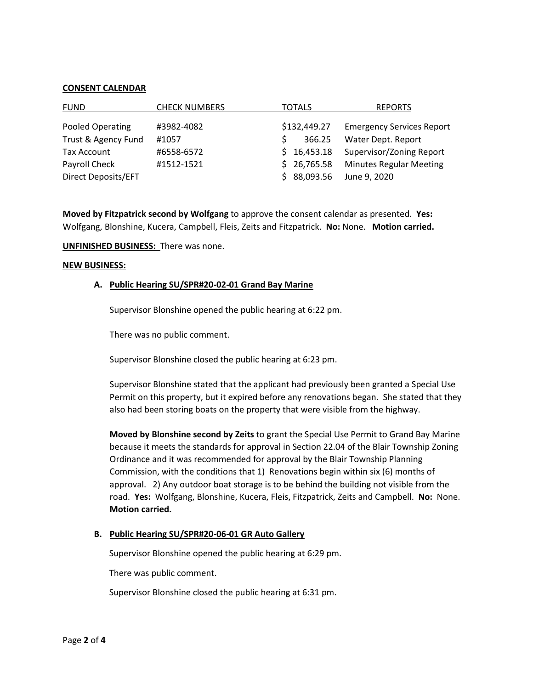## **CONSENT CALENDAR**

| <b>FUND</b>         | <b>CHECK NUMBERS</b> | TOTALS       | <b>REPORTS</b>                   |
|---------------------|----------------------|--------------|----------------------------------|
| Pooled Operating    | #3982-4082           | \$132,449.27 | <b>Emergency Services Report</b> |
| Trust & Agency Fund | #1057                | 366.25       | Water Dept. Report               |
| Tax Account         | #6558-6572           | \$16,453.18  | Supervisor/Zoning Report         |
| Payroll Check       | #1512-1521           | \$26,765.58  | <b>Minutes Regular Meeting</b>   |
| Direct Deposits/EFT |                      | \$88,093.56  | June 9, 2020                     |

**Moved by Fitzpatrick second by Wolfgang** to approve the consent calendar as presented. **Yes:** Wolfgang, Blonshine, Kucera, Campbell, Fleis, Zeits and Fitzpatrick. **No:** None. **Motion carried.**

**UNFINISHED BUSINESS:** There was none.

#### **NEW BUSINESS:**

#### **A. Public Hearing SU/SPR#20-02-01 Grand Bay Marine**

Supervisor Blonshine opened the public hearing at 6:22 pm.

There was no public comment.

Supervisor Blonshine closed the public hearing at 6:23 pm.

Supervisor Blonshine stated that the applicant had previously been granted a Special Use Permit on this property, but it expired before any renovations began. She stated that they also had been storing boats on the property that were visible from the highway.

**Moved by Blonshine second by Zeits** to grant the Special Use Permit to Grand Bay Marine because it meets the standards for approval in Section 22.04 of the Blair Township Zoning Ordinance and it was recommended for approval by the Blair Township Planning Commission, with the conditions that 1) Renovations begin within six (6) months of approval. 2) Any outdoor boat storage is to be behind the building not visible from the road. **Yes:** Wolfgang, Blonshine, Kucera, Fleis, Fitzpatrick, Zeits and Campbell. **No:** None. **Motion carried.**

## **B. Public Hearing SU/SPR#20-06-01 GR Auto Gallery**

Supervisor Blonshine opened the public hearing at 6:29 pm.

There was public comment.

Supervisor Blonshine closed the public hearing at 6:31 pm.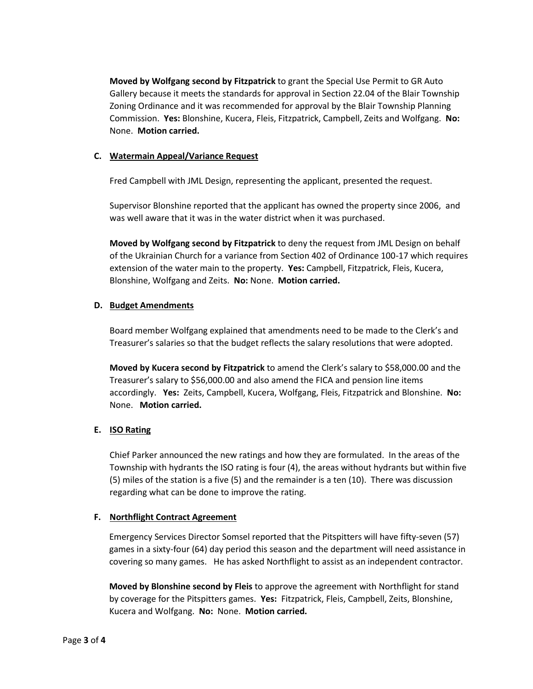**Moved by Wolfgang second by Fitzpatrick** to grant the Special Use Permit to GR Auto Gallery because it meets the standards for approval in Section 22.04 of the Blair Township Zoning Ordinance and it was recommended for approval by the Blair Township Planning Commission. **Yes:** Blonshine, Kucera, Fleis, Fitzpatrick, Campbell, Zeits and Wolfgang. **No:**  None. **Motion carried.**

# **C. Watermain Appeal/Variance Request**

Fred Campbell with JML Design, representing the applicant, presented the request.

Supervisor Blonshine reported that the applicant has owned the property since 2006, and was well aware that it was in the water district when it was purchased.

**Moved by Wolfgang second by Fitzpatrick** to deny the request from JML Design on behalf of the Ukrainian Church for a variance from Section 402 of Ordinance 100-17 which requires extension of the water main to the property. **Yes:** Campbell, Fitzpatrick, Fleis, Kucera, Blonshine, Wolfgang and Zeits. **No:** None. **Motion carried.** 

# **D. Budget Amendments**

Board member Wolfgang explained that amendments need to be made to the Clerk's and Treasurer's salaries so that the budget reflects the salary resolutions that were adopted.

**Moved by Kucera second by Fitzpatrick** to amend the Clerk's salary to \$58,000.00 and the Treasurer's salary to \$56,000.00 and also amend the FICA and pension line items accordingly. **Yes:** Zeits, Campbell, Kucera, Wolfgang, Fleis, Fitzpatrick and Blonshine. **No:** None. **Motion carried.** 

# **E. ISO Rating**

Chief Parker announced the new ratings and how they are formulated. In the areas of the Township with hydrants the ISO rating is four (4), the areas without hydrants but within five (5) miles of the station is a five (5) and the remainder is a ten (10). There was discussion regarding what can be done to improve the rating.

## **F. Northflight Contract Agreement**

 Emergency Services Director Somsel reported that the Pitspitters will have fifty-seven (57) games in a sixty-four (64) day period this season and the department will need assistance in covering so many games. He has asked Northflight to assist as an independent contractor.

 **Moved by Blonshine second by Fleis** to approve the agreement with Northflight for stand by coverage for the Pitspitters games. **Yes:** Fitzpatrick, Fleis, Campbell, Zeits, Blonshine, Kucera and Wolfgang. **No:** None. **Motion carried.**